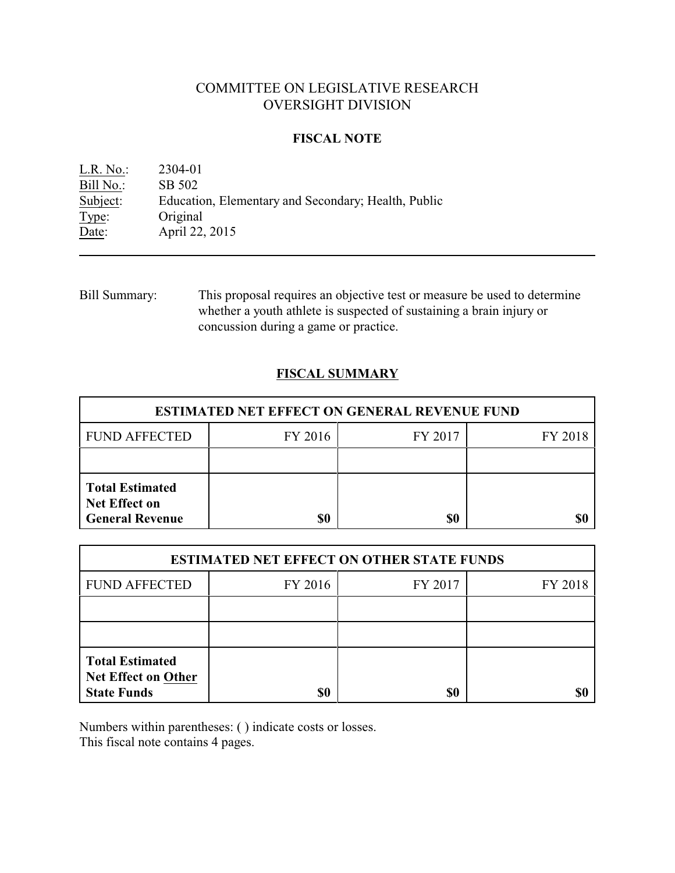# COMMITTEE ON LEGISLATIVE RESEARCH OVERSIGHT DIVISION

### **FISCAL NOTE**

L.R. No.: 2304-01 Bill No.: SB 502<br>Subject: Education Education, Elementary and Secondary; Health, Public Type: Original Date: **April 22, 2015** 

Bill Summary: This proposal requires an objective test or measure be used to determine whether a youth athlete is suspected of sustaining a brain injury or concussion during a game or practice.

## **FISCAL SUMMARY**

| <b>ESTIMATED NET EFFECT ON GENERAL REVENUE FUND</b>                      |         |         |         |  |
|--------------------------------------------------------------------------|---------|---------|---------|--|
| <b>FUND AFFECTED</b>                                                     | FY 2016 | FY 2017 | FY 2018 |  |
|                                                                          |         |         |         |  |
| <b>Total Estimated</b><br><b>Net Effect on</b><br><b>General Revenue</b> | \$0     | \$0     |         |  |

| <b>ESTIMATED NET EFFECT ON OTHER STATE FUNDS</b>                           |         |         |         |  |
|----------------------------------------------------------------------------|---------|---------|---------|--|
| <b>FUND AFFECTED</b>                                                       | FY 2016 | FY 2017 | FY 2018 |  |
|                                                                            |         |         |         |  |
|                                                                            |         |         |         |  |
| <b>Total Estimated</b><br><b>Net Effect on Other</b><br><b>State Funds</b> | \$0     | \$0     |         |  |

Numbers within parentheses: ( ) indicate costs or losses.

This fiscal note contains 4 pages.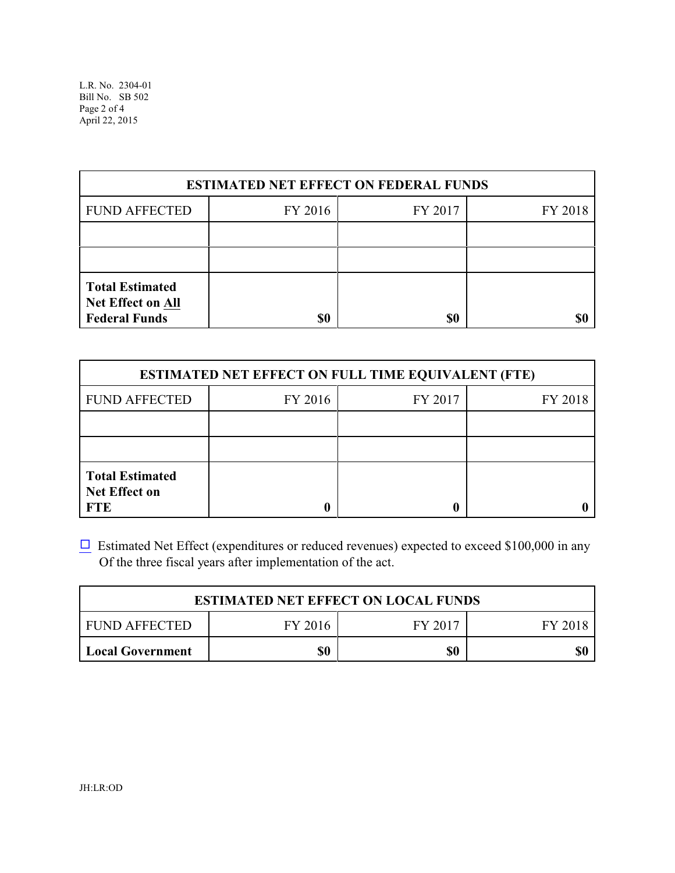L.R. No. 2304-01 Bill No. SB 502 Page 2 of 4 April 22, 2015

| <b>ESTIMATED NET EFFECT ON FEDERAL FUNDS</b>                               |         |         |         |  |
|----------------------------------------------------------------------------|---------|---------|---------|--|
| <b>FUND AFFECTED</b>                                                       | FY 2016 | FY 2017 | FY 2018 |  |
|                                                                            |         |         |         |  |
|                                                                            |         |         |         |  |
| <b>Total Estimated</b><br><b>Net Effect on All</b><br><b>Federal Funds</b> | \$0     | \$0     |         |  |

| <b>ESTIMATED NET EFFECT ON FULL TIME EQUIVALENT (FTE)</b>    |         |         |         |  |
|--------------------------------------------------------------|---------|---------|---------|--|
| <b>FUND AFFECTED</b>                                         | FY 2016 | FY 2017 | FY 2018 |  |
|                                                              |         |         |         |  |
|                                                              |         |         |         |  |
| <b>Total Estimated</b><br><b>Net Effect on</b><br><b>FTE</b> |         |         |         |  |

 $\Box$  Estimated Net Effect (expenditures or reduced revenues) expected to exceed \$100,000 in any Of the three fiscal years after implementation of the act.

| <b>ESTIMATED NET EFFECT ON LOCAL FUNDS</b> |         |         |         |  |
|--------------------------------------------|---------|---------|---------|--|
| FUND AFFECTED                              | FY 2016 | FY 2017 | FY 2018 |  |
| <b>Local Government</b>                    | \$0     | \$0     |         |  |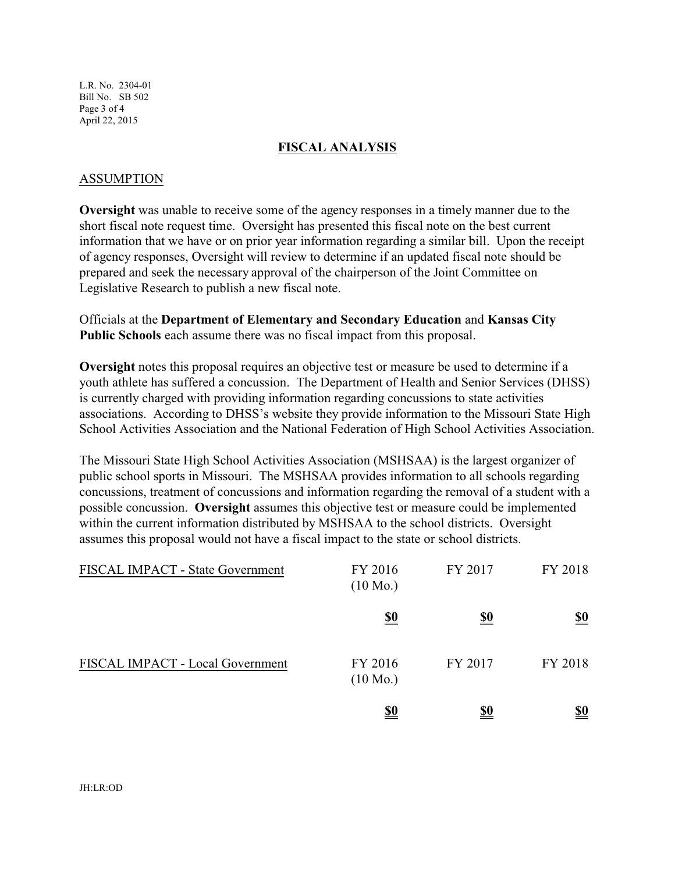L.R. No. 2304-01 Bill No. SB 502 Page 3 of 4 April 22, 2015

#### **FISCAL ANALYSIS**

#### ASSUMPTION

**Oversight** was unable to receive some of the agency responses in a timely manner due to the short fiscal note request time. Oversight has presented this fiscal note on the best current information that we have or on prior year information regarding a similar bill. Upon the receipt of agency responses, Oversight will review to determine if an updated fiscal note should be prepared and seek the necessary approval of the chairperson of the Joint Committee on Legislative Research to publish a new fiscal note.

Officials at the **Department of Elementary and Secondary Education** and **Kansas City Public Schools** each assume there was no fiscal impact from this proposal.

**Oversight** notes this proposal requires an objective test or measure be used to determine if a youth athlete has suffered a concussion. The Department of Health and Senior Services (DHSS) is currently charged with providing information regarding concussions to state activities associations. According to DHSS's website they provide information to the Missouri State High School Activities Association and the National Federation of High School Activities Association.

The Missouri State High School Activities Association (MSHSAA) is the largest organizer of public school sports in Missouri. The MSHSAA provides information to all schools regarding concussions, treatment of concussions and information regarding the removal of a student with a possible concussion. **Oversight** assumes this objective test or measure could be implemented within the current information distributed by MSHSAA to the school districts. Oversight assumes this proposal would not have a fiscal impact to the state or school districts.

| FISCAL IMPACT - State Government | FY 2016<br>$(10 \text{ Mo.})$ | FY 2017    | FY 2018    |
|----------------------------------|-------------------------------|------------|------------|
|                                  | <u>\$0</u>                    | <u>\$0</u> | <u>\$0</u> |
| FISCAL IMPACT - Local Government | FY 2016<br>$(10 \text{ Mo.})$ | FY 2017    | FY 2018    |
|                                  | <u>\$0</u>                    | <u>\$0</u> | <u>\$0</u> |